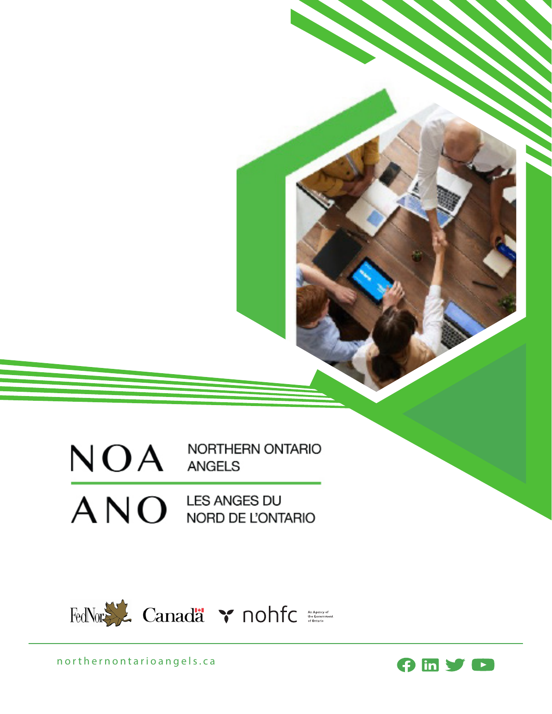$NOA$  MORTHERN ONTARIO

 $AND$  LES ANGES DU NORD DE L'ONTARIO



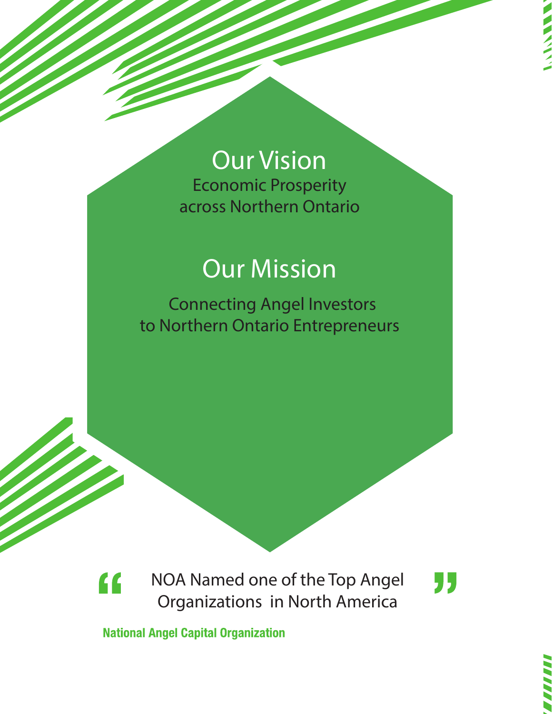# Our Vision

Economic Prosperity across Northern Ontario

## **Our Mission**

Connecting Angel Investors to Northern Ontario Entrepreneurs



"

**National Angel Capital Organization**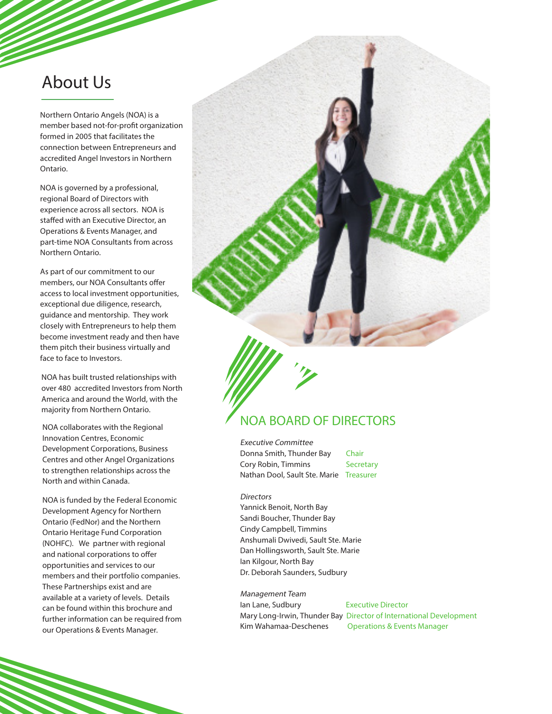## About Us

Northern Ontario Angels (NOA) is a member based not-for-profit organization formed in 2005 that facilitates the connection between Entrepreneurs and accredited Angel Investors in Northern Ontario.

NOA is governed by a professional, regional Board of Directors with experience across all sectors. NOA is staffed with an Executive Director, an Operations & Events Manager, and part-time NOA Consultants from across Northern Ontario.

As part of our commitment to our members, our NOA Consultants offer access to local investment opportunities, exceptional due diligence, research, guidance and mentorship. They work closely with Entrepreneurs to help them become investment ready and then have them pitch their business virtually and face to face to Investors.

NOA has built trusted relationships with over 480 accredited Investors from North America and around the World, with the majority from Northern Ontario.

NOA collaborates with the Regional Innovation Centres, Economic Development Corporations, Business Centres and other Angel Organizations to strengthen relationships across the North and within Canada.

NOA is funded by the Federal Economic Development Agency for Northern Ontario (FedNor) and the Northern Ontario Heritage Fund Corporation (NOHFC). We partner with regional and national corporations to offer opportunities and services to our members and their portfolio companies. These Partnerships exist and are available at a variety of levels. Details can be found within this brochure and further information can be required from our Operations & Events Manager.

### NOA BOARD OF DIRECTORS

Executive Committee Donna Smith, Thunder Bay Chair Cory Robin, Timmins Secretary Nathan Dool, Sault Ste. Marie Treasurer

#### **Directors**

Yannick Benoit, North Bay Sandi Boucher, Thunder Bay Cindy Campbell, Timmins Anshumali Dwivedi, Sault Ste. Marie Dan Hollingsworth, Sault Ste. Marie Ian Kilgour, North Bay Dr. Deborah Saunders, Sudbury

Management Team Ian Lane, Sudbury Executive Director Mary Long-Irwin, Thunder Bay Director of International Development Kim Wahamaa-Deschenes Operations & Events Manager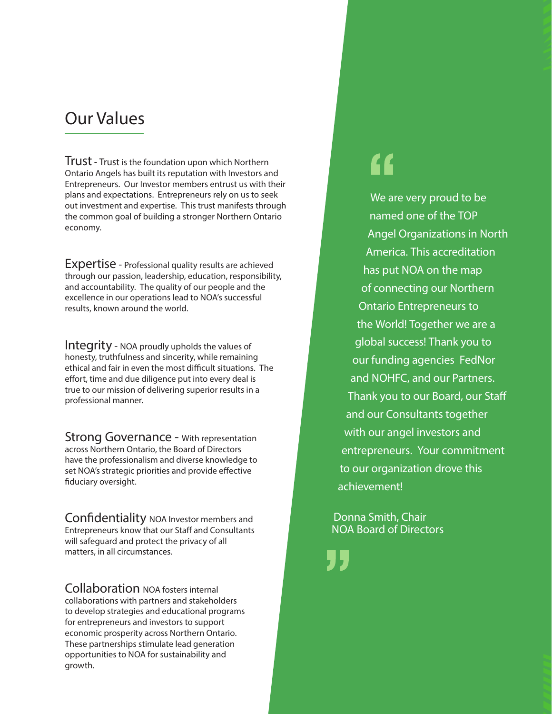## Our Values

Trust - Trust is the foundation upon which Northern Ontario Angels has built its reputation with Investors and Entrepreneurs. Our Investor members entrust us with their plans and expectations. Entrepreneurs rely on us to seek out investment and expertise. This trust manifests through the common goal of building a stronger Northern Ontario economy.

Expertise - Professional quality results are achieved through our passion, leadership, education, responsibility, and accountability. The quality of our people and the excellence in our operations lead to NOA's successful results, known around the world.

Integrity - NOA proudly upholds the values of honesty, truthfulness and sincerity, while remaining ethical and fair in even the most difficult situations. The effort, time and due diligence put into every deal is true to our mission of delivering superior results in a professional manner.

Strong Governance - With representation across Northern Ontario, the Board of Directors have the professionalism and diverse knowledge to set NOA's strategic priorities and provide effective fiduciary oversight.

Confidentiality NOA Investor members and Entrepreneurs know that our Staff and Consultants will safeguard and protect the privacy of all matters, in all circumstances.

Collaboration NOA fosters internal collaborations with partners and stakeholders to develop strategies and educational programs for entrepreneurs and investors to support economic prosperity across Northern Ontario. These partnerships stimulate lead generation opportunities to NOA for sustainability and growth.

## "

We are very proud to be named one of the TOP Angel Organizations in North America. This accreditation has put NOA on the map of connecting our Northern Ontario Entrepreneurs to the World! Together we are a global success! Thank you to our funding agencies FedNor and NOHFC, and our Partners. Thank you to our Board, our Staff and our Consultants together with our angel investors and entrepreneurs. Your commitment to our organization drove this achievement!

Donna Smith, Chair NOA Board of Directors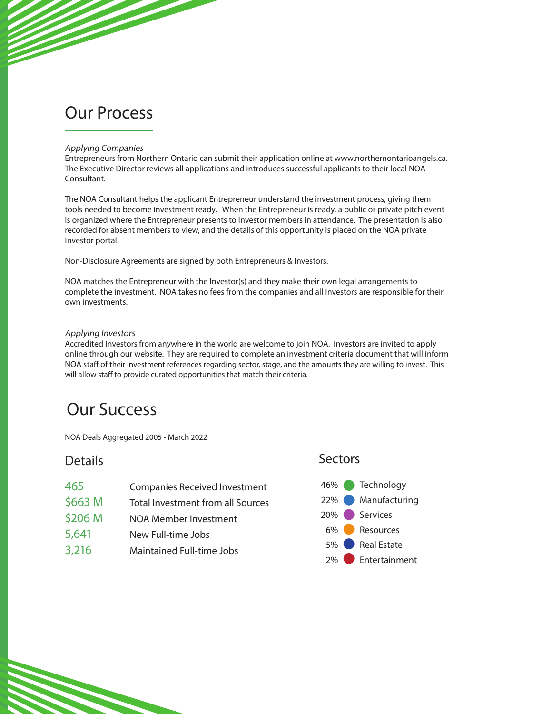## Our Process

### Applying Companies

Entrepreneurs from Northern Ontario can submit their application online at www.northernontarioangels.ca. The Executive Director reviews all applications and introduces successful applicants to their local NOA Consultant.

The NOA Consultant helps the applicant Entrepreneur understand the investment process, giving them tools needed to become investment ready. When the Entrepreneur is ready, a public or private pitch event is organized where the Entrepreneur presents to Investor members in attendance. The presentation is also recorded for absent members to view, and the details of this opportunity is placed on the NOA private Investor portal.

Non-Disclosure Agreements are signed by both Entrepreneurs & Investors.

NOA matches the Entrepreneur with the Investor(s) and they make their own legal arrangements to complete the investment. NOA takes no fees from the companies and all Investors are responsible for their own investments.

### Applying Investors

Accredited Investors from anywhere in the world are welcome to join NOA. Investors are invited to apply online through our website. They are required to complete an investment criteria document that will inform NOA staff of their investment references regarding sector, stage, and the amounts they are willing to invest. This will allow staff to provide curated opportunities that match their criteria.

## Our Success

NOA Deals Aggregated 2005 - March 2022

465 Companies Received Investment \$663 M Total Investment from all Sources \$206 M NOA Member Investment 5,641 New Full-time Jobs 3,216 Maintained Full-time Jobs

### Details **Sectors**

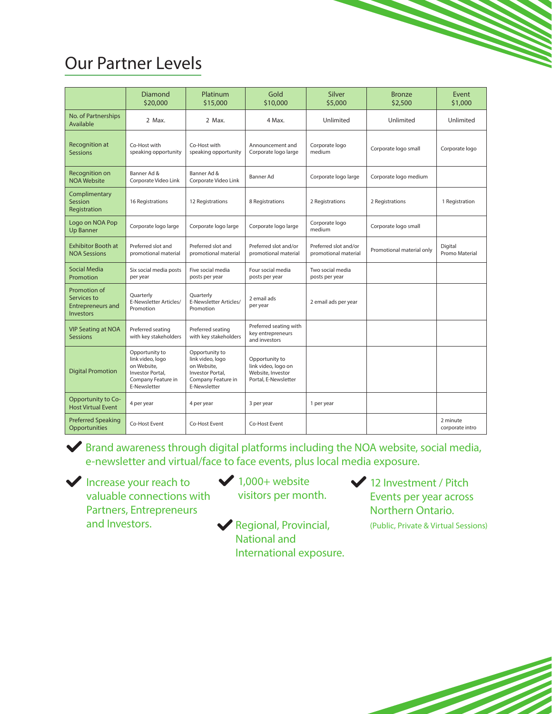## Our Partner Levels

|                                                                      | <b>Diamond</b><br>\$20,000                                                                                  | Platinum<br>\$15,000                                                                                        | Gold<br>\$10,000                                                                   | Silver<br>\$5,000                             | <b>Bronze</b><br>\$2,500  | Event<br>\$1,000            |
|----------------------------------------------------------------------|-------------------------------------------------------------------------------------------------------------|-------------------------------------------------------------------------------------------------------------|------------------------------------------------------------------------------------|-----------------------------------------------|---------------------------|-----------------------------|
| No. of Partnerships<br>Available                                     | 2 Max.                                                                                                      | 2 Max.                                                                                                      | 4 Max.                                                                             | Unlimited                                     | Unlimited                 | Unlimited                   |
| <b>Recognition at</b><br><b>Sessions</b>                             | Co-Host with<br>speaking opportunity                                                                        | Co-Host with<br>speaking opportunity                                                                        | Announcement and<br>Corporate logo large                                           | Corporate logo<br>medium                      | Corporate logo small      | Corporate logo              |
| Recognition on<br><b>NOA Website</b>                                 | Banner Ad &<br>Corporate Video Link                                                                         | Banner Ad &<br>Corporate Video Link                                                                         | Banner Ad                                                                          | Corporate logo large                          | Corporate logo medium     |                             |
| Complimentary<br>Session<br>Registration                             | 16 Registrations                                                                                            | 12 Registrations                                                                                            | 8 Registrations                                                                    | 2 Registrations                               | 2 Registrations           | 1 Registration              |
| Logo on NOA Pop<br><b>Up Banner</b>                                  | Corporate logo large                                                                                        | Corporate logo large                                                                                        | Corporate logo large                                                               | Corporate logo<br>medium                      | Corporate logo small      |                             |
| <b>Exhibitor Booth at</b><br><b>NOA Sessions</b>                     | Preferred slot and<br>promotional material                                                                  | Preferred slot and<br>promotional material                                                                  | Preferred slot and/or<br>promotional material                                      | Preferred slot and/or<br>promotional material | Promotional material only | Digital<br>Promo Material   |
| Social Media<br>Promotion                                            | Six social media posts<br>per year                                                                          | Five social media<br>posts per year                                                                         | Four social media<br>posts per year                                                | Two social media<br>posts per year            |                           |                             |
| Promotion of<br>Services to<br><b>Entrepreneurs and</b><br>Investors | Quarterly<br>E-Newsletter Articles/<br>Promotion                                                            | Quarterly<br>E-Newsletter Articles/<br>Promotion                                                            | 2 email ads<br>per year                                                            | 2 email ads per year                          |                           |                             |
| <b>VIP Seating at NOA</b><br><b>Sessions</b>                         | Preferred seating<br>with key stakeholders                                                                  | Preferred seating<br>with key stakeholders                                                                  | Preferred seating with<br>key entrepreneurs<br>and investors                       |                                               |                           |                             |
| <b>Digital Promotion</b>                                             | Opportunity to<br>link video, logo<br>on Website.<br>Investor Portal.<br>Company Feature in<br>E-Newsletter | Opportunity to<br>link video, logo<br>on Website.<br>Investor Portal.<br>Company Feature in<br>E-Newsletter | Opportunity to<br>link video, logo on<br>Website, Investor<br>Portal, E-Newsletter |                                               |                           |                             |
| Opportunity to Co-<br><b>Host Virtual Event</b>                      | 4 per year                                                                                                  | 4 per year                                                                                                  | 3 per year                                                                         | 1 per year                                    |                           |                             |
| <b>Preferred Speaking</b><br>Opportunities                           | Co-Host Event                                                                                               | Co-Host Event                                                                                               | Co-Host Event                                                                      |                                               |                           | 2 minute<br>corporate intro |



Brand awareness through digital platforms including the NOA website, social media, e-newsletter and virtual/face to face events, plus local media exposure.

Increase your reach to valuable connections with Partners, Entrepreneurs and Investors.

 $\bigvee$  1,000+ website visitors per month.

Regional, Provincial, National and International exposure. 12 Investment / Pitch Events per year across Northern Ontario. (Public, Private & Virtual Sessions)

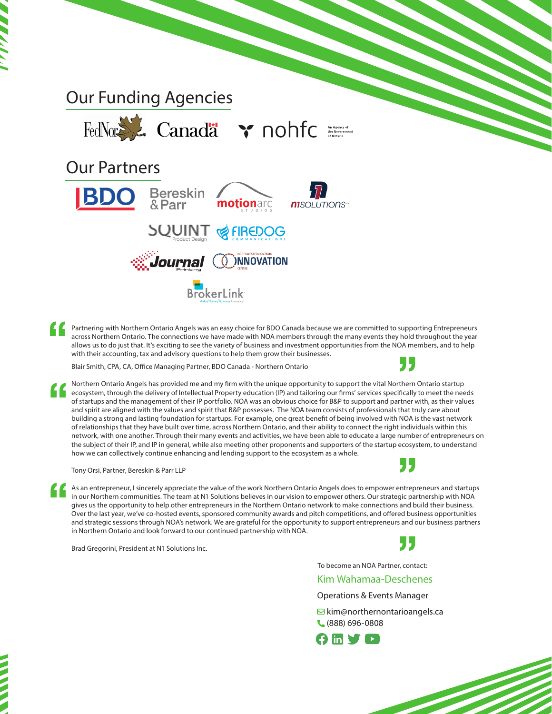



Partnering with Northern Ontario Angels was an easy choice for BDO Canada because we are committed to supporting Entrepreneurs across Northern Ontario. The connections we have made with NOA members through the many events they hold throughout the year allows us to do just that. It's exciting to see the variety of business and investment opportunities from the NOA members, and to help with their accounting, tax and advisory questions to help them grow their businesses.

Blair Smith, CPA, CA, Office Managing Partner, BDO Canada - Northern Ontario



Northern Ontario Angels has provided me and my firm with the unique opportunity to support the vital Northern Ontario startup ecosystem, through the delivery of Intellectual Property education (IP) and tailoring our firms' services specifically to meet the needs of startups and the management of their IP portfolio. NOA was an obvious choice for B&P to support and partner with, as their values and spirit are aligned with the values and spirit that B&P possesses. The NOA team consists of professionals that truly care about building a strong and lasting foundation for startups. For example, one great benefit of being involved with NOA is the vast network of relationships that they have built over time, across Northern Ontario, and their ability to connect the right individuals within this network, with one another. Through their many events and activities, we have been able to educate a large number of entrepreneurs on the subject of their IP, and IP in general, while also meeting other proponents and supporters of the startup ecosystem, to understand how we can collectively continue enhancing and lending support to the ecosystem as a whole.

Tony Orsi, Partner, Bereskin & Parr LLP

As an entrepreneur, I sincerely appreciate the value of the work Northern Ontario Angels does to empower entrepreneurs and startups in our Northern communities. The team at N1 Solutions believes in our vision to empower others. Our strategic partnership with NOA gives us the opportunity to help other entrepreneurs in the Northern Ontario network to make connections and build their business. Over the last year, we've co-hosted events, sponsored community awards and pitch competitions, and offered business opportunities and strategic sessions through NOA's network. We are grateful for the opportunity to support entrepreneurs and our business partners in Northern Ontario and look forward to our continued partnership with NOA.

Brad Gregorini, President at N1 Solutions Inc.



To become an NOA Partner, contact:

### Kim Wahamaa-Deschenes

Operations & Events Manager

 $\Xi$  kim@northernontarioangels.ca (888) 696-0808